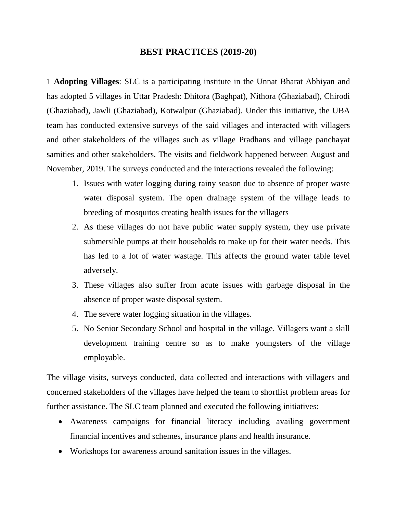## **BEST PRACTICES (2019-20)**

1 **Adopting Villages**: SLC is a participating institute in the Unnat Bharat Abhiyan and has adopted 5 villages in Uttar Pradesh: Dhitora (Baghpat), Nithora (Ghaziabad), Chirodi (Ghaziabad), Jawli (Ghaziabad), Kotwalpur (Ghaziabad). Under this initiative, the UBA team has conducted extensive surveys of the said villages and interacted with villagers and other stakeholders of the villages such as village Pradhans and village panchayat samities and other stakeholders. The visits and fieldwork happened between August and November, 2019. The surveys conducted and the interactions revealed the following:

- 1. Issues with water logging during rainy season due to absence of proper waste water disposal system. The open drainage system of the village leads to breeding of mosquitos creating health issues for the villagers
- 2. As these villages do not have public water supply system, they use private submersible pumps at their households to make up for their water needs. This has led to a lot of water wastage. This affects the ground water table level adversely.
- 3. These villages also suffer from acute issues with garbage disposal in the absence of proper waste disposal system.
- 4. The severe water logging situation in the villages.
- 5. No Senior Secondary School and hospital in the village. Villagers want a skill development training centre so as to make youngsters of the village employable.

The village visits, surveys conducted, data collected and interactions with villagers and concerned stakeholders of the villages have helped the team to shortlist problem areas for further assistance. The SLC team planned and executed the following initiatives:

- Awareness campaigns for financial literacy including availing government financial incentives and schemes, insurance plans and health insurance.
- Workshops for awareness around sanitation issues in the villages.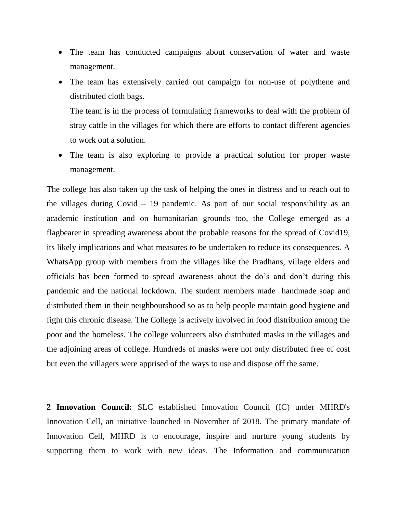- The team has conducted campaigns about conservation of water and waste management.
- The team has extensively carried out campaign for non-use of polythene and distributed cloth bags.

The team is in the process of formulating frameworks to deal with the problem of stray cattle in the villages for which there are efforts to contact different agencies to work out a solution.

 The team is also exploring to provide a practical solution for proper waste management.

The college has also taken up the task of helping the ones in distress and to reach out to the villages during Covid – 19 pandemic. As part of our social responsibility as an academic institution and on humanitarian grounds too, the College emerged as a flagbearer in spreading awareness about the probable reasons for the spread of Covid19, its likely implications and what measures to be undertaken to reduce its consequences. A WhatsApp group with members from the villages like the Pradhans, village elders and officials has been formed to spread awareness about the do's and don't during this pandemic and the national lockdown. The student members made handmade soap and distributed them in their neighbourshood so as to help people maintain good hygiene and fight this chronic disease. The College is actively involved in food distribution among the poor and the homeless. The college volunteers also distributed masks in the villages and the adjoining areas of college. Hundreds of masks were not only distributed free of cost but even the villagers were apprised of the ways to use and dispose off the same.

**2 Innovation Council:** SLC established Innovation Council (IC) under MHRD's Innovation Cell, an initiative launched in November of 2018. The primary mandate of Innovation Cell, MHRD is to encourage, inspire and nurture young students by supporting them to work with new ideas. The Information and communication